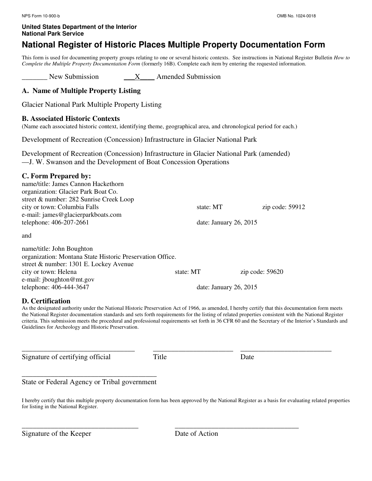# **National Register of Historic Places Multiple Property Documentation Form**

This form is used for documenting property groups relating to one or several historic contexts. See instructions in National Register Bulletin *How to Complete the Multiple Property Documentation Form* (formerly 16B). Complete each item by entering the requested information.

New Submission \_\_\_\_\_\_\_ X\_\_\_\_\_ Amended Submission

# **A. Name of Multiple Property Listing**

Glacier National Park Multiple Property Listing

#### **B. Associated Historic Contexts**

(Name each associated historic context, identifying theme, geographical area, and chronological period for each.)

Development of Recreation (Concession) Infrastructure in Glacier National Park

Development of Recreation (Concession) Infrastructure in Glacier National Park (amended) —J. W. Swanson and the Development of Boat Concession Operations

# **C. Form Prepared by:**

name/title: James Cannon Hackethorn organization: Glacier Park Boat Co. street & number: 282 Sunrise Creek Loop city or town: Columbia Falls **state: MT** zip code: 59912 e-mail: james@glacierparkboats.com telephone: 406-207-2661 date: January 26, 2015 and name/title: John Boughton organization: Montana State Historic Preservation Office. street & number: 1301 E. Lockey Avenue city or town: Helena state: MT zip code: 59620 e-mail: jboughton@mt.gov telephone: 406-444-3647 date: January 26, 2015

# **D. Certification**

As the designated authority under the National Historic Preservation Act of 1966, as amended, I hereby certify that this documentation form meets the National Register documentation standards and sets forth requirements for the listing of related properties consistent with the National Register criteria. This submission meets the procedural and professional requirements set forth in 36 CFR 60 and the Secretary of the Interior's Standards and Guidelines for Archeology and Historic Preservation.

\_\_\_\_\_\_\_\_\_\_\_\_\_\_\_\_\_\_\_\_\_\_\_\_\_\_\_\_\_\_\_ \_\_\_\_\_\_\_\_\_\_\_\_\_\_\_\_\_\_\_\_\_\_ \_\_\_\_\_\_\_\_\_\_\_\_\_\_\_\_\_\_\_\_\_\_\_\_\_

Signature of certifying official Title Date

\_\_\_\_\_\_\_\_\_\_\_\_\_\_\_\_\_\_\_\_\_\_\_\_\_\_\_\_\_\_\_\_ \_\_\_\_\_\_\_\_\_\_\_\_\_\_\_\_\_\_\_\_\_\_\_\_\_\_\_\_\_\_\_\_\_\_

\_\_\_\_\_\_\_\_\_\_\_\_\_\_\_\_\_\_\_\_\_\_\_\_\_\_\_\_\_\_\_\_\_\_\_\_\_ State or Federal Agency or Tribal government

I hereby certify that this multiple property documentation form has been approved by the National Register as a basis for evaluating related properties for listing in the National Register.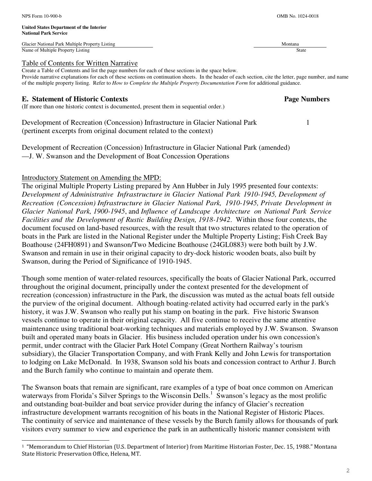j.

#### **United States Department of the Interior National Park Service**

Glacier National Park Multiple Property Listing Montana and American control of the Montana Montana and Montana Name of Multiple Property Listing State

#### Table of Contents for Written Narrative

Create a Table of Contents and list the page numbers for each of these sections in the space below. Provide narrative explanations for each of these sections on continuation sheets. In the header of each section, cite the letter, page number, and name of the multiple property listing. Refer to *How to Complete the Multiple Property Documentation Form* for additional guidance.

# **E. Statement of Historic Contexts**  Page Numbers **Page Numbers Page Numbers**

(If more than one historic context is documented, present them in sequential order.)

Development of Recreation (Concession) Infrastructure in Glacier National Park 1 (pertinent excerpts from original document related to the context)

Development of Recreation (Concession) Infrastructure in Glacier National Park (amended) —J. W. Swanson and the Development of Boat Concession Operations

# Introductory Statement on Amending the MPD:

The original Multiple Property Listing prepared by Ann Hubber in July 1995 presented four contexts: *Development of Administrative Infrastructure in Glacier National Park 1910-1945, Development of Recreation (Concession) Infrastructure in Glacier National Park, 1910-1945, Private Development in Glacier National Park, 1900-1945*, and *Influence of Landscape Architecture on National Park Service Facilities and the Development of Rustic Building Design, 1918-1942*. Within those four contexts, the document focused on land-based resources, with the result that two structures related to the operation of boats in the Park are listed in the National Register under the Multiple Property Listing; Fish Creek Bay Boathouse (24FH0891) and Swanson/Two Medicine Boathouse (24GL0883) were both built by J.W. Swanson and remain in use in their original capacity to dry-dock historic wooden boats, also built by Swanson, during the Period of Significance of 1910-1945.

Though some mention of water-related resources, specifically the boats of Glacier National Park, occurred throughout the original document, principally under the context presented for the development of recreation (concession) infrastructure in the Park, the discussion was muted as the actual boats fell outside the purview of the original document. Although boating-related activity had occurred early in the park's history, it was J.W. Swanson who really put his stamp on boating in the park. Five historic Swanson vessels continue to operate in their original capacity. All five continue to receive the same attentive maintenance using traditional boat-working techniques and materials employed by J.W. Swanson. Swanson built and operated many boats in Glacier. His business included operation under his own concession's permit, under contract with the Glacier Park Hotel Company (Great Northern Railway's tourism subsidiary), the Glacier Transportation Company, and with Frank Kelly and John Lewis for transportation to lodging on Lake McDonald. In 1938, Swanson sold his boats and concession contract to Arthur J. Burch and the Burch family who continue to maintain and operate them.

The Swanson boats that remain are significant, rare examples of a type of boat once common on American waterways from Florida's Silver Springs to the Wisconsin Dells.<sup>1</sup> Swanson's legacy as the most prolific and outstanding boat-builder and boat service provider during the infancy of Glacier's recreation infrastructure development warrants recognition of his boats in the National Register of Historic Places. The continuity of service and maintenance of these vessels by the Burch family allows for thousands of park visitors every summer to view and experience the park in an authentically historic manner consistent with

#### <sup>1</sup> "Memorandum to Chief Historian (U.S. Department of Interior) from Maritime Historian Foster, Dec. 15, 1988." Montana State Historic Preservation Office, Helena, MT.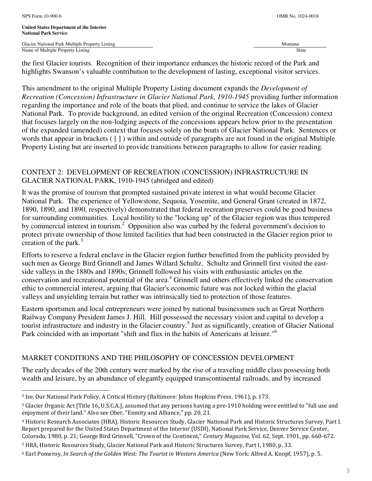L

**United States Department of the Interior National Park Service** 

Glacier National Park Multiple Property Listing Montana Channel Communication of Multiple Property Listing Montana Channel Channel Channel Channel Channel Channel Channel Channel Channel Channel Channel Channel Channel Cha Name of Multiple Property Listing

the first Glacier tourists. Recognition of their importance enhances the historic record of the Park and highlights Swanson's valuable contribution to the development of lasting, exceptional visitor services.

This amendment to the original Multiple Property Listing document expands the *Development of Recreation (Concession) Infrastructure in Glacier National Park, 1910-1945* providing further information regarding the importance and role of the boats that plied, and continue to service the lakes of Glacier National Park. To provide background, an edited version of the original Recreation (Concession) context that focuses largely on the non-lodging aspects of the concessions appears below prior to the presentation of the expanded (amended) context that focuses solely on the boats of Glacier National Park. Sentences or words that appear in brackets ( [ ] ) within and outside of paragraphs are not found in the original Multiple Property Listing but are inserted to provide transitions between paragraphs to allow for easier reading.

# CONTEXT 2: DEVELOPMENT OF RECREATION (CONCESSION) INFRASTRUCTURE IN GLACIER NATIONAL PARK, 1910-1945 (abridged and edited)

It was the promise of tourism that prompted sustained private interest in what would become Glacier National Park. The experience of Yellowstone, Sequoia, Yosemite, and General Grant (created in 1872, 1890, 1890, and 1890, respectively) demonstrated that federal recreation preserves could be good business for surrounding communities. Local hostility to the "locking up" of the Glacier region was thus tempered by commercial interest in tourism.<sup>2</sup> Opposition also was curbed by the federal government's decision to protect private ownership of those limited facilities that had been constructed in the Glacier region prior to creation of the park. $3$ 

Efforts to reserve a federal enclave in the Glacier region further benefitted from the publicity provided by such men as George Bird Grinnell and James Willard Schultz. Schultz and Grinnell first visited the eastside valleys in the 1880s and 1890s; Grinnell followed his visits with enthusiastic articles on the conservation and recreational potential of the area. 4 Grinnell and others effectively linked the conservation ethic to commercial interest, arguing that Glacier's economic future was not locked within the glacial valleys and unyielding terrain but rather was intrinsically tied to protection of those features.

Eastern sportsmen and local entrepreneurs were joined by national businessmen such as Great Northern Railway Company President James J. Hill. Hill possessed the necessary vision and capital to develop a tourist infrastructure and industry in the Glacier country.<sup>5</sup> Just as significantly, creation of Glacier National Park coincided with an important "shift and flux in the habits of Americans at leisure."<sup>6</sup>

# MARKET CONDITIONS AND THE PHILOSOPHY OF CONCESSION DEVELOPMENT

The early decades of the 20th century were marked by the rise of a traveling middle class possessing both wealth and leisure, by an abundance of elegantly equipped transcontinental railroads, and by increased

<sup>2</sup> Ise, Our National Park Policy, A Critical History (Baltimore: Johns Hopkins Press, 1961), p. 173.

<sup>3</sup> Glacier Organic Act [Title 16, U.S.C.A.], assumed that any persons having a pre-1910 holding were entitled to "full use and enjoyment of their land." Also see Ober, "Enmity and Alliance," pp. 20, 21.

<sup>4</sup> Historic Research Associates (HRA), Historic Resources Study, Glacier National Park and Historic Structures Survey, Part I. Report prepared for the United States Department of the Interior (USDI), National Park Service, Denver Service Center, Colorado, 1980, p. 21; George Bird Grinnell, "Crown of the Continent," Century Magazine, Vol. 62, Sept. 1901, pp. 660-672.

<sup>5</sup> HRA, Historic Resources Study, Glacier National Park and Historic Structures Survey, Part I, 1980, p. 33.

<sup>6</sup> Earl Pomeroy, In Search of the Golden West: The Tourist in Western America (New York: Alfred A. Knopf, 1957), p. 5.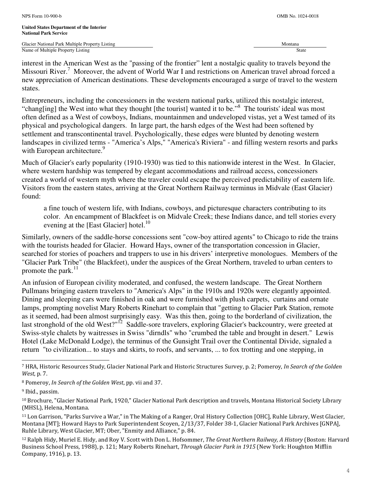interest in the American West as the "passing of the frontier" lent a nostalgic quality to travels beyond the Missouri River.<sup>7</sup> Moreover, the advent of World War I and restrictions on American travel abroad forced a new appreciation of American destinations. These developments encouraged a surge of travel to the western states.

Entrepreneurs, including the concessioners in the western national parks, utilized this nostalgic interest, "chang[ing] the West into what they thought [the tourist] wanted it to be."<sup>8</sup> The tourists' ideal was most often defined as a West of cowboys, Indians, mountainmen and undeveloped vistas, yet a West tamed of its physical and psychological dangers. In large part, the harsh edges of the West had been softened by settlement and transcontinental travel. Psychologically, these edges were blunted by denoting western landscapes in civilized terms - "America's Alps," "America's Riviera" - and filling western resorts and parks with European architecture.<sup>9</sup>

Much of Glacier's early popularity (1910-1930) was tied to this nationwide interest in the West. In Glacier, where western hardship was tempered by elegant accommodations and railroad access, concessioners created a world of western myth where the traveler could escape the perceived predictability of eastern life. Visitors from the eastern states, arriving at the Great Northern Railway terminus in Midvale (East Glacier) found:

a fine touch of western life, with Indians, cowboys, and picturesque characters contributing to its color. An encampment of Blackfeet is on Midvale Creek; these Indians dance, and tell stories every evening at the [East Glacier] hotel.<sup>10</sup>

Similarly, owners of the saddle-horse concessions sent "cow-boy attired agents" to Chicago to ride the trains with the tourists headed for Glacier. Howard Hays, owner of the transportation concession in Glacier, searched for stories of poachers and trappers to use in his drivers' interpretive monologues. Members of the "Glacier Park Tribe" (the Blackfeet), under the auspices of the Great Northern, traveled to urban centers to promote the park. $^{11}$ 

An infusion of European civility moderated, and confused, the western landscape. The Great Northern Pullmans bringing eastern travelers to "America's Alps" in the 1910s and 1920s were elegantly appointed. Dining and sleeping cars were finished in oak and were furnished with plush carpets, curtains and ornate lamps, prompting novelist Mary Roberts Rinehart to complain that "getting to Glacier Park Station, remote as it seemed, had been almost surprisingly easy. Was this then, going to the borderland of civilization, the last stronghold of the old West?"<sup>12</sup> Saddle-sore travelers, exploring Glacier's backcountry, were greeted at Swiss-style chalets by waitresses in Swiss "dirndls" who "crumbed the table and brought in desert." Lewis Hotel (Lake McDonald Lodge), the terminus of the Gunsight Trail over the Continental Divide, signaled a return "to civilization... to stays and skirts, to roofs, and servants, ... to fox trotting and one stepping, in

L

<sup>12</sup> Ralph Hidy, Muriel E. Hidy, and Roy V. Scott with Don L. Hofsommer, The Great Northern Railway, A History (Boston: Harvard Business School Press, 1988), p. 121; Mary Roberts Rinehart, Through Glacier Park in 1915 (New York: Houghton Mifflin Company, 1916), p. 13.

<sup>&</sup>lt;sup>7</sup> HRA, Historic Resources Study, Glacier National Park and Historic Structures Survey, p. 2; Pomeroy, In Search of the Golden West, p. 7.

<sup>8</sup> Pomeroy, In Search of the Golden West, pp. vii and 37.

<sup>9</sup> Ibid., passim.

<sup>&</sup>lt;sup>10</sup> Brochure, "Glacier National Park, 1920," Glacier National Park description and travels, Montana Historical Society Library (MHSL), Helena, Montana.

<sup>11</sup> Lon Garrison, "Parks Survive a War," in The Making of a Ranger, Oral History Collection [OHC], Ruhle Library, West Glacier, Montana [MT]; Howard Hays to Park Superintendent Scoyen, 2/13/37, Folder 38-1, Glacier National Park Archives [GNPA], Ruhle Library, West Glacier, MT; Ober, "Enmity and Alliance," p. 84.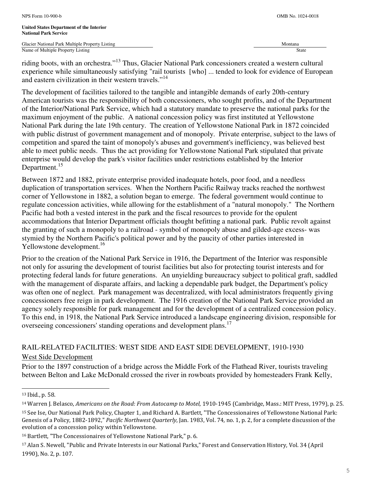riding boots, with an orchestra."<sup>13</sup> Thus, Glacier National Park concessioners created a western cultural experience while simultaneously satisfying "rail tourists [who] ... tended to look for evidence of European and eastern civilization in their western travels."<sup>14</sup>

The development of facilities tailored to the tangible and intangible demands of early 20th-century American tourists was the responsibility of both concessioners, who sought profits, and of the Department of the Interior/National Park Service, which had a statutory mandate to preserve the national parks for the maximum enjoyment of the public. A national concession policy was first instituted at Yellowstone National Park during the late 19th century. The creation of Yellowstone National Park in 1872 coincided with public distrust of government management and of monopoly. Private enterprise, subject to the laws of competition and spared the taint of monopoly's abuses and government's inefficiency, was believed best able to meet public needs. Thus the act providing for Yellowstone National Park stipulated that private enterprise would develop the park's visitor facilities under restrictions established by the Interior Department.<sup>15</sup>

Between 1872 and 1882, private enterprise provided inadequate hotels, poor food, and a needless duplication of transportation services. When the Northern Pacific Railway tracks reached the northwest corner of Yellowstone in 1882, a solution began to emerge. The federal government would continue to regulate concession activities, while allowing for the establishment of a "natural monopoly." The Northern Pacific had both a vested interest in the park and the fiscal resources to provide for the opulent accommodations that Interior Department officials thought befitting a national park. Public revolt against the granting of such a monopoly to a railroad - symbol of monopoly abuse and gilded-age excess- was stymied by the Northern Pacific's political power and by the paucity of other parties interested in Yellowstone development.<sup>16</sup>

Prior to the creation of the National Park Service in 1916, the Department of the Interior was responsible not only for assuring the development of tourist facilities but also for protecting tourist interests and for protecting federal lands for future generations. An unyielding bureaucracy subject to political graft, saddled with the management of disparate affairs, and lacking a dependable park budget, the Department's policy was often one of neglect. Park management was decentralized, with local administrators frequently giving concessioners free reign in park development. The 1916 creation of the National Park Service provided an agency solely responsible for park management and for the development of a centralized concession policy. To this end, in 1918, the National Park Service introduced a landscape engineering division, responsible for overseeing concessioners' standing operations and development plans.<sup>17</sup>

# RAIL-RELATED FACILITIES: WEST SIDE AND EAST SIDE DEVELOPMENT, 1910-1930

# West Side Development

Prior to the 1897 construction of a bridge across the Middle Fork of the Flathead River, tourists traveling between Belton and Lake McDonald crossed the river in rowboats provided by homesteaders Frank Kelly,

L

<sup>13</sup> Ibid., p. 58.

<sup>&</sup>lt;sup>14</sup> Warren J. Belasco, Americans on the Road: From Autocamp to Motel, 1910-1945 (Cambridge, Mass.: MIT Press, 1979), p. 25.

<sup>15</sup> See Ise, Our National Park Policy, Chapter 1, and Richard A. Bartlett, "The Concessionaires of Yellowstone National Park: Genesis of a Policy, 1882-1892," Pacific Northwest Quarterly, Jan. 1983, Vol. 74, no. 1, p. 2, for a complete discussion of the evolution of a concession policy within Yellowstone.

<sup>16</sup> Bartlett, "The Concessionaires of Yellowstone National Park," p. 6.

<sup>17</sup> Alan S. Newell, "Public and Private Interests in our National Parks," Forest and Conservation History, Vol. 34 (April 1990), No. 2, p. 107.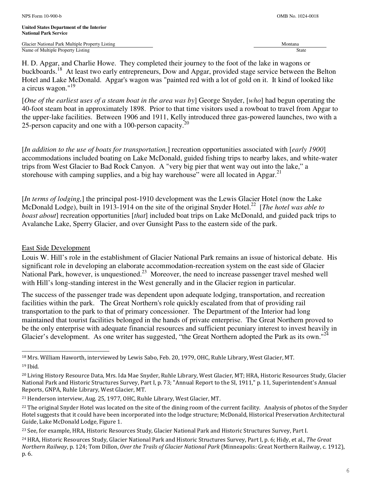H. D. Apgar, and Charlie Howe. They completed their journey to the foot of the lake in wagons or buckboards.<sup>18</sup> At least two early entrepreneurs, Dow and Apgar, provided stage service between the Belton Hotel and Lake McDonald. Apgar's wagon was "painted red with a lot of gold on it. It kind of looked like a circus wagon."<sup>19</sup>

[*One of the earliest uses of a steam boat in the area was by*] George Snyder, [*who*] had begun operating the 40-foot steam boat in approximately 1898. Prior to that time visitors used a rowboat to travel from Apgar to the upper-lake facilities. Between 1906 and 1911, Kelly introduced three gas-powered launches, two with a 25-person capacity and one with a 100-person capacity.<sup>20</sup>

[*In addition to the use of boats for transportation,*] recreation opportunities associated with [*early 1900*] accommodations included boating on Lake McDonald, guided fishing trips to nearby lakes, and white-water trips from West Glacier to Bad Rock Canyon. A "very big pier that went way out into the lake," a storehouse with camping supplies, and a big hay warehouse" were all located in Apgar. $^{21}$ 

[*In terms of lodging,*] the principal post-1910 development was the Lewis Glacier Hotel (now the Lake McDonald Lodge), built in 1913-1914 on the site of the original Snyder Hotel.<sup>22</sup> [*The hotel was able to boast about*] recreation opportunities [*that*] included boat trips on Lake McDonald, and guided pack trips to Avalanche Lake, Sperry Glacier, and over Gunsight Pass to the eastern side of the park.

# East Side Development

L

Louis W. Hill's role in the establishment of Glacier National Park remains an issue of historical debate. His significant role in developing an elaborate accommodation-recreation system on the east side of Glacier National Park, however, is unquestioned.<sup>23</sup> Moreover, the need to increase passenger travel meshed well with Hill's long-standing interest in the West generally and in the Glacier region in particular.

The success of the passenger trade was dependent upon adequate lodging, transportation, and recreation facilities within the park. The Great Northern's role quickly escalated from that of providing rail transportation to the park to that of primary concessioner. The Department of the Interior had long maintained that tourist facilities belonged in the hands of private enterprise. The Great Northern proved to be the only enterprise with adequate financial resources and sufficient pecuniary interest to invest heavily in Glacier's development. As one writer has suggested, "the Great Northern adopted the Park as its own."<sup>24</sup>

<sup>18</sup> Mrs. William Haworth, interviewed by Lewis Sabo, Feb. 20, 1979, OHC, Ruhle Library, West Glacier, MT. <sup>19</sup> Ibid.

<sup>20</sup> Living History Resource Data, Mrs. Ida Mae Snyder, Ruhle Library, West Glacier, MT; HRA, Historic Resources Study, Glacier National Park and Historic Structures Survey, Part I, p. 73; "Annual Report to the SI, 1911," p. 11, Superintendent's Annual Reports, GNPA, Ruhle Library, West Glacier, MT.

<sup>21</sup> Henderson interview, Aug. 25, 1977, OHC, Ruhle Library, West Glacier, MT.

<sup>&</sup>lt;sup>22</sup> The original Snyder Hotel was located on the site of the dining room of the current facility. Analysis of photos of the Snyder Hotel suggests that it could have been incorporated into the lodge structure; McDonald, Historical Preservation Architectural Guide, Lake McDonald Lodge, Figure 1.

<sup>&</sup>lt;sup>23</sup> See, for example, HRA, Historic Resources Study, Glacier National Park and Historic Structures Survey, Part I.

<sup>&</sup>lt;sup>24</sup> HRA, Historic Resources Study, Glacier National Park and Historic Structures Survey, Part I, p. 6; Hidy, et al., The Great Northern Railway, p. 124; Tom Dillon, Over the Trails of Glacier National Park (Minneapolis: Great Northern Railway, c. 1912), p. 6.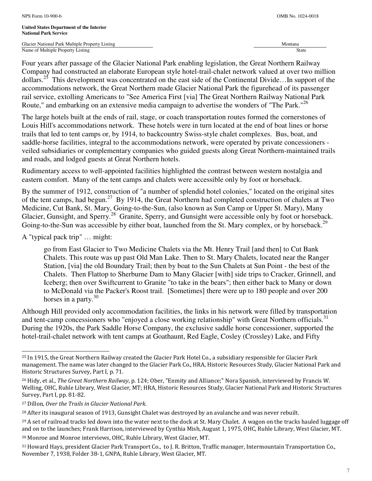Four years after passage of the Glacier National Park enabling legislation, the Great Northern Railway Company had constructed an elaborate European style hotel-trail-chalet network valued at over two million dollars.<sup>25</sup> This development was concentrated on the east side of the Continental Divide...In support of the accommodations network, the Great Northern made Glacier National Park the figurehead of its passenger rail service, extolling Americans to "See America First [via] The Great Northern Railway National Park Route," and embarking on an extensive media campaign to advertise the wonders of "The Park."<sup>26</sup>

The large hotels built at the ends of rail, stage, or coach transportation routes formed the cornerstones of Louis Hill's accommodations network. These hotels were in turn located at the end of boat lines or horse trails that led to tent camps or, by 1914, to backcountry Swiss-style chalet complexes. Bus, boat, and saddle-horse facilities, integral to the accommodations network, were operated by private concessioners veiled subsidiaries or complementary companies who guided guests along Great Northern-maintained trails and roads, and lodged guests at Great Northern hotels.

Rudimentary access to well-appointed facilities highlighted the contrast between western nostalgia and eastern comfort. Many of the tent camps and chalets were accessible only by foot or horseback.

By the summer of 1912, construction of "a number of splendid hotel colonies," located on the original sites of the tent camps, had begun.<sup>27</sup> By 1914, the Great Northern had completed construction of chalets at Two Medicine, Cut Bank, St. Mary, Going-to-the-Sun, (also known as Sun Camp or Upper St. Mary), Many Glacier, Gunsight, and Sperry.<sup>28</sup> Granite, Sperry, and Gunsight were accessible only by foot or horseback. Going-to-the-Sun was accessible by either boat, launched from the St. Mary complex, or by horseback.<sup>29</sup>

A "typical pack trip" … might:

L

go from East Glacier to Two Medicine Chalets via the Mt. Henry Trail [and then] to Cut Bank Chalets. This route was up past Old Man Lake. Then to St. Mary Chalets, located near the Ranger Station, [via] the old Boundary Trail; then by boat to the Sun Chalets at Sun Point - the best of the Chalets. Then Flattop to Sherburne Dam to Many Glacier [with] side trips to Cracker, Grinnell, and Iceberg; then over Swiftcurrent to Granite "to take in the bears"; then either back to Many or down to McDonald via the Packer's Roost trail. [Sometimes] there were up to 180 people and over 200 horses in a party. $30$ 

Although Hill provided only accommodation facilities, the links in his network were filled by transportation and tent-camp concessioners who "enjoyed a close working relationship" with Great Northern officials.<sup>31</sup> During the 1920s, the Park Saddle Horse Company, the exclusive saddle horse concessioner, supported the hotel-trail-chalet network with tent camps at Goathaunt, Red Eagle, Cosley (Crossley) Lake, and Fifty

<sup>25</sup> In 1915, the Great Northern Railway created the Glacier Park Hotel Co., a subsidiary responsible for Glacier Park management. The name was later changed to the Glacier Park Co., HRA, Historic Resources Study, Glacier National Park and Historic Structures Survey, Part I, p. 71.

<sup>&</sup>lt;sup>26</sup> Hidy, et al., The Great Northern Railway, p. 124; Ober, "Enmity and Alliance;" Nora Spanish, interviewed by Francis W. Welling, OHC, Ruhle Library, West Glacier, MT; HRA, Historic Resources Study, Glacier National Park and Historic Structures Survey, Part I, pp. 81-82.

<sup>27</sup> Dillon, Over the Trails in Glacier National Park.

<sup>&</sup>lt;sup>28</sup> After its inaugural season of 1913, Gunsight Chalet was destroyed by an avalanche and was never rebuilt.

 $^{29}$  A set of railroad tracks led down into the water next to the dock at St. Mary Chalet. A wagon on the tracks hauled luggage off and on to the launches; Frank Harrison, interviewed by Cynthia Mish, August 1, 1975, OHC, Ruhle Library, West Glacier, MT.

<sup>30</sup> Monroe and Monroe interviews, OHC, Ruhle Library, West Glacier, MT.

<sup>31</sup> Howard Hays, president Glacier Park Transport Co., to J. R. Britton, Traffic manager, Intermountain Transportation Co., November 7, 1938, Folder 38-1, GNPA, Ruhle Library, West Glacier, MT.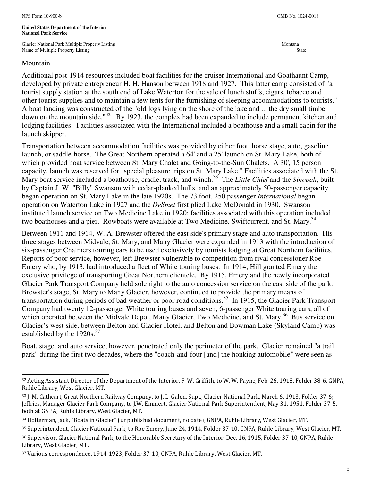j.

Additional post-1914 resources included boat facilities for the cruiser International and Goathaunt Camp, developed by private entrepreneur H. H. Hanson between 1918 and 1927. This latter camp consisted of "a tourist supply station at the south end of Lake Waterton for the sale of lunch stuffs, cigars, tobacco and other tourist supplies and to maintain a few tents for the furnishing of sleeping accommodations to tourists." A boat landing was constructed of the "old logs lying on the shore of the lake and ... the dry small timber down on the mountain side."<sup>32</sup> By 1923, the complex had been expanded to include permanent kitchen and lodging facilities. Facilities associated with the International included a boathouse and a small cabin for the launch skipper.

Transportation between accommodation facilities was provided by either foot, horse stage, auto, gasoline launch, or saddle-horse. The Great Northern operated a 64' and a 25' launch on St. Mary Lake, both of which provided boat service between St. Mary Chalet and Going-to-the-Sun Chalets. A 30', 15 person capacity, launch was reserved for "special pleasure trips on St. Mary Lake." Facilities associated with the St. Mary boat service included a boathouse, cradle, track, and winch.<sup>33</sup> The *Little Chief* and the *Sinopah*, built by Captain J. W. "Billy" Swanson with cedar-planked hulls, and an approximately 50-passenger capacity, began operation on St. Mary Lake in the late 1920s. The 73 foot, 250 passenger *International* began operation on Waterton Lake in 1927 and the *DeSmet* first plied Lake McDonald in 1930. Swanson instituted launch service on Two Medicine Lake in 1920; facilities associated with this operation included two boathouses and a pier. Rowboats were available at Two Medicine, Swiftcurrent, and St. Mary.<sup>34</sup>

Between 1911 and 1914, W. A. Brewster offered the east side's primary stage and auto transportation. His three stages between Midvale, St. Mary, and Many Glacier were expanded in 1913 with the introduction of six-passenger Chalmers touring cars to be used exclusively by tourists lodging at Great Northern facilities. Reports of poor service, however, left Brewster vulnerable to competition from rival concessioner Roe Emery who, by 1913, had introduced a fleet of White touring buses. In 1914, Hill granted Emery the exclusive privilege of transporting Great Northern clientele. By 1915, Emery and the newly incorporated Glacier Park Transport Company held sole right to the auto concession service on the east side of the park. Brewster's stage, St. Mary to Many Glacier, however, continued to provide the primary means of transportation during periods of bad weather or poor road conditions.<sup>35</sup> In 1915, the Glacier Park Transport Company had twenty 12-passenger White touring buses and seven, 6-passenger White touring cars, all of which operated between the Midvale Depot, Many Glacier, Two Medicine, and St. Mary.<sup>36</sup> Bus service on Glacier's west side, between Belton and Glacier Hotel, and Belton and Bowman Lake (Skyland Camp) was established by the 1920s.<sup>37</sup>

Boat, stage, and auto service, however, penetrated only the perimeter of the park. Glacier remained "a trail park" during the first two decades, where the "coach-and-four [and] the honking automobile" were seen as

<sup>32</sup> Acting Assistant Director of the Department of the Interior, F. W. Griffith, to W. W. Payne, Feb. 26, 1918, Folder 38-6, GNPA, Ruhle Library, West Glacier, MT.

<sup>33</sup> J. M. Cathcart, Great Northern Railway Company, to J. L. Galen, Supt., Glacier National Park, March 6, 1913, Folder 37-6; Jeffries, Manager Glacier Park Company, to J.W. Emmert, Glacier National Park Superintendent, May 31, 1951, Folder 37-5, both at GNPA, Ruhle Library, West Glacier, MT.

<sup>34</sup> Holterman, Jack, "Boats in Glacier" (unpublished document, no date), GNPA, Ruhle Library, West Glacier, MT.

<sup>35</sup> Superintendent, Glacier National Park, to Roe Emery, June 24, 1914, Folder 37-10, GNPA, Ruhle Library, West Glacier, MT.

<sup>36</sup> Supervisor, Glacier National Park, to the Honorable Secretary of the Interior, Dec. 16, 1915, Folder 37-10, GNPA, Ruhle Library, West Glacier, MT.

<sup>37</sup> Various correspondence, 1914-1923, Folder 37-10, GNPA, Ruhle Library, West Glacier, MT.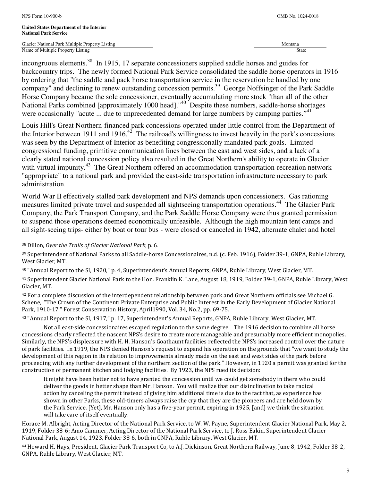j.

Glacier National Park Multiple Property Listing Montana and American control of the Montana Montana Montana Montana Name of Multiple Property Listing State

incongruous elements.<sup>38</sup> In 1915, 17 separate concessioners supplied saddle horses and guides for backcountry trips. The newly formed National Park Service consolidated the saddle horse operators in 1916 by ordering that "the saddle and pack horse transportation service in the reservation be handled by one company" and declining to renew outstanding concession permits.<sup>39</sup> George Noffsinger of the Park Saddle Horse Company became the sole concessioner, eventually accumulating more stock "than all of the other National Parks combined [approximately 1000 head]."<sup>40</sup> Despite these numbers, saddle-horse shortages were occasionally "acute ... due to unprecedented demand for large numbers by camping parties."<sup>41</sup>

Louis Hill's Great Northern-financed park concessions operated under little control from the Department of the Interior between 1911 and 1916.<sup>42</sup> The railroad's willingness to invest heavily in the park's concessions was seen by the Department of Interior as benefiting congressionally mandated park goals. Limited congressional funding, primitive communication lines between the east and west sides, and a lack of a clearly stated national concession policy also resulted in the Great Northern's ability to operate in Glacier with virtual impunity.<sup>43</sup> The Great Northern offered an accommodation-transportation-recreation network "appropriate" to a national park and provided the east-side transportation infrastructure necessary to park administration.

World War II effectively stalled park development and NPS demands upon concessioners. Gas rationing measures limited private travel and suspended all sightseeing transportation operations.<sup>44</sup> The Glacier Park Company, the Park Transport Company, and the Park Saddle Horse Company were thus granted permission to suspend those operations deemed economically unfeasible. Although the high mountain tent camps and all sight-seeing trips- either by boat or tour bus - were closed or canceled in 1942, alternate chalet and hotel

<sup>38</sup> Dillon, Over the Trails of Glacier National Park, p. 6.

<sup>40</sup> "Annual Report to the SI, 1920," p. 4, Superintendent's Annual Reports, GNPA, Ruhle Library, West Glacier, MT.

<sup>41</sup> Superintendent Glacier National Park to the Hon. Franklin K. Lane, August 18, 1919, Folder 39-1, GNPA, Ruhle Library, West Glacier, MT.

 $42$  For a complete discussion of the interdependent relationship between park and Great Northern officials see Michael G. Schene, "The Crown of the Continent: Private Enterprise and Public Interest in the Early Development of Glacier National Park, 1910-17," Forest Conservation History, April1990, Vol. 34, No.2, pp. 69-75.

<sup>43</sup> "Annual Report to the SI, 1917," p. 17, Superintendent's Annual Reports, GNPA, Ruhle Library, West Glacier, MT.

Not all east-side concessionaires escaped regulation to the same degree. The 1916 decision to combine all horse concessions clearly reflected the nascent NPS's desire to create more manageable and presumably more efficient monopolies. Similarly, the NPS's displeasure with H. H. Hanson's Goathaunt facilities reflected the NPS's increased control over the nature of park facilities. In 1919, the NPS denied Hanson's request to expand his operation on the grounds that "we want to study the development of this region in its relation to improvements already made on the east and west sides of the park before proceeding with any further development of the northern section of the park." However, in 1920 a permit was granted for the construction of permanent kitchen and lodging facilities. By 1923, the NPS rued its decision:

It might have been better not to have granted the concession until we could get somebody in there who could deliver the goods in better shape than Mr. Hanson. You will realize that our disinclination to take radical action by canceling the permit instead of giving him additional time is due to the fact that, as experience has shown in other Parks, these old-timers always raise the cry that they are the pioneers and are held down by the Park Service. [Yet], Mr. Hanson only has a five-year permit, expiring in 1925, [and] we think the situation will take care of itself eventually.

Horace M. Albright, Acting Director of the National Park Service, to W. W. Payne, Superintendent Glacier National Park, May 2, 1919, Folder 38-6; Amo Cammer, Acting Director of the National Park Service, to J. Ross Eakin, Superintendent Glacier National Park, August 14, 1923, Folder 38-6, both in GNPA, Ruhle Library, West Glacier, MT.

<sup>44</sup> Howard H. Hays, President, Glacier Park Transport Co, to A.J. Dickinson, Great Northern Railway, June 8, 1942, Folder 38-2, GNPA, Ruhle Library, West Glacier, MT.

<sup>39</sup> Superintendent of National Parks to all Saddle-horse Concessionaires, n.d. (c. Feb. 1916), Folder 39-1, GNPA, Ruhle Library, West Glacier, MT.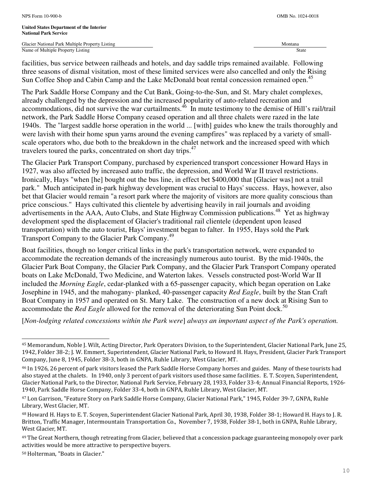facilities, bus service between railheads and hotels, and day saddle trips remained available. Following three seasons of dismal visitation, most of these limited services were also cancelled and only the Rising Sun Coffee Shop and Cabin Camp and the Lake McDonald boat rental concession remained open.<sup>45</sup>

The Park Saddle Horse Company and the Cut Bank, Going-to-the-Sun, and St. Mary chalet complexes, already challenged by the depression and the increased popularity of auto-related recreation and accommodations, did not survive the war curtailments.  $46$  In mute testimony to the demise of Hill's rail/trail network, the Park Saddle Horse Company ceased operation and all three chalets were razed in the late 1940s. The "largest saddle horse operation in the world ... [with] guides who knew the trails thoroughly and were lavish with their home spun yarns around the evening campfires" was replaced by a variety of smallscale operators who, due both to the breakdown in the chalet network and the increased speed with which travelers toured the parks, concentrated on short day trips.<sup>47</sup>

The Glacier Park Transport Company, purchased by experienced transport concessioner Howard Hays in 1927, was also affected by increased auto traffic, the depression, and World War II travel restrictions. Ironically, Hays "when [he] bought out the bus line, in effect bet \$400,000 that [Glacier was] not a trail park." Much anticipated in-park highway development was crucial to Hays' success. Hays, however, also bet that Glacier would remain "a resort park where the majority of visitors are more quality conscious than price conscious." Hays cultivated this clientele by advertising heavily in rail journals and avoiding advertisements in the AAA, Auto Clubs, and State Highway Commission publications.<sup>48</sup> Yet as highway development sped the displacement of Glacier's traditional rail clientele (dependent upon leased transportation) with the auto tourist, Hays' investment began to falter. In 1955, Hays sold the Park Transport Company to the Glacier Park Company.<sup>49</sup>

Boat facilities, though no longer critical links in the park's transportation network, were expanded to accommodate the recreation demands of the increasingly numerous auto tourist. By the mid-1940s, the Glacier Park Boat Company, the Glacier Park Company, and the Glacier Park Transport Company operated boats on Lake McDonald, Two Medicine, and Waterton lakes. Vessels constructed post-World War II included the *Morning Eagle*, cedar-planked with a 65-passenger capacity, which began operation on Lake Josephine in 1945, and the mahogany- planked, 40-passenger capacity *Red Eagle*, built by the Stan Craft Boat Company in 1957 and operated on St. Mary Lake. The construction of a new dock at Rising Sun to accommodate the *Red Eagle* allowed for the removal of the deteriorating Sun Point dock.<sup>50</sup>

[*Non-lodging related concessions within the Park were*] *always an important aspect of the Park's operation.* 

L

<sup>45</sup> Memorandum, Noble J. Wilt, Acting Director, Park Operators Division, to the Superintendent, Glacier National Park, June 25, 1942, Folder 38-2; J. W. Emmert, Superintendent, Glacier National Park, to Howard H. Hays, President, Glacier Park Transport Company, June 8, 1945, Folder 38-3, both in GNPA, Ruhle Library, West Glacier, MT.

<sup>46</sup> In 1926, 26 percent of park visitors leased the Park Saddle Horse Company horses and guides. Many of these tourists had also stayed at the chalets. In 1940, only 3 percent of park visitors used those same facilities. E. T. Scoyen, Superintendent, Glacier National Park, to the Director, National Park Service, February 28, 1933, Folder 33-4; Annual Financial Reports, 1926- 1940, Park Saddle Horse Company, Folder 33-4, both in GNPA, Ruhle Library, West Glacier, MT.

<sup>47</sup> Lon Garrison, "Feature Story on Park Saddle Horse Company, Glacier National Park," 1945, Folder 39-7, GNPA, Ruhle Library, West Glacier, MT.

<sup>48</sup> Howard H. Hays to E. T. Scoyen, Superintendent Glacier National Park, April 30, 1938, Folder 38-1; Howard H. Hays to J. R. Britton, Traffic Manager, Intermountain Transportation Co., November 7, 1938, Folder 38-1, both in GNPA, Ruhle Library, West Glacier, MT.

<sup>&</sup>lt;sup>49</sup> The Great Northern, though retreating from Glacier, believed that a concession package guaranteeing monopoly over park activities would be more attractive to perspective buyers.

<sup>50</sup> Holterman, "Boats in Glacier."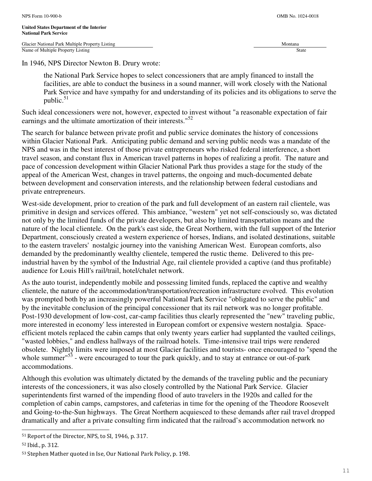In 1946, NPS Director Newton B. Drury wrote:

the National Park Service hopes to select concessioners that are amply financed to install the facilities, are able to conduct the business in a sound manner, will work closely with the National Park Service and have sympathy for and understanding of its policies and its obligations to serve the public. $51$ 

Such ideal concessioners were not, however, expected to invest without "a reasonable expectation of fair earnings and the ultimate amortization of their interests."<sup>52</sup>

The search for balance between private profit and public service dominates the history of concessions within Glacier National Park. Anticipating public demand and serving public needs was a mandate of the NPS and was in the best interest of those private entrepreneurs who risked federal interference, a short travel season, and constant flux in American travel patterns in hopes of realizing a profit. The nature and pace of concession development within Glacier National Park thus provides a stage for the study of the appeal of the American West, changes in travel patterns, the ongoing and much-documented debate between development and conservation interests, and the relationship between federal custodians and private entrepreneurs.

West-side development, prior to creation of the park and full development of an eastern rail clientele, was primitive in design and services offered. This ambiance, "western" yet not self-consciously so, was dictated not only by the limited funds of the private developers, but also by limited transportation means and the nature of the local clientele. On the park's east side, the Great Northern, with the full support of the Interior Department, consciously created a western experience of horses, Indians, and isolated destinations, suitable to the eastern travelers' nostalgic journey into the vanishing American West. European comforts, also demanded by the predominantly wealthy clientele, tempered the rustic theme. Delivered to this preindustrial haven by the symbol of the Industrial Age, rail clientele provided a captive (and thus profitable) audience for Louis Hill's rail/trail, hotel/chalet network.

As the auto tourist, independently mobile and possessing limited funds, replaced the captive and wealthy clientele, the nature of the accommodation/transportation/recreation infrastructure evolved. This evolution was prompted both by an increasingly powerful National Park Service "obligated to serve the public" and by the inevitable conclusion of the principal concessioner that its rail network was no longer profitable. Post-1930 development of low-cost, car-camp facilities thus clearly represented the "new" traveling public, more interested in economy' less interested in European comfort or expensive western nostalgia. Spaceefficient motels replaced the cabin camps that only twenty years earlier had supplanted the vaulted ceilings, "wasted lobbies," and endless hallways of the railroad hotels. Time-intensive trail trips were rendered obsolete. Nightly limits were imposed at most Glacier facilities and tourists- once encouraged to "spend the whole summer<sup>"53</sup> - were encouraged to tour the park quickly, and to stay at entrance or out-of-park accommodations.

Although this evolution was ultimately dictated by the demands of the traveling public and the pecuniary interests of the concessioners, it was also closely controlled by the National Park Service. Glacier superintendents first warned of the impending flood of auto travelers in the 1920s and called for the completion of cabin camps, campstores, and cafeterias in time for the opening of the Theodore Roosevelt and Going-to-the-Sun highways. The Great Northern acquiesced to these demands after rail travel dropped dramatically and after a private consulting firm indicated that the railroad's accommodation network no

j.

<sup>51</sup> Report of the Director, NPS, to SI, 1946, p. 317.

<sup>52</sup> Ibid., p. 312.

<sup>53</sup> Stephen Mather quoted in Ise, Our National Park Policy, p. 198.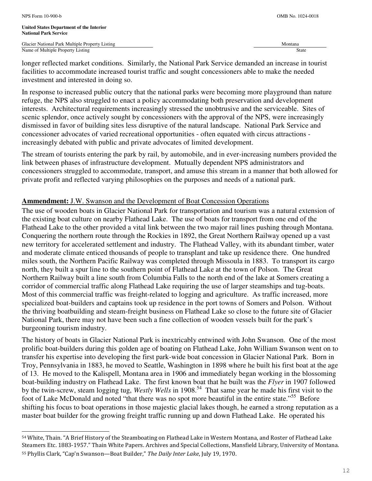j.

Glacier National Park Multiple Property Listing Montana and American control of the Montana Montana and Montana Name of Multiple Property Listing State

longer reflected market conditions. Similarly, the National Park Service demanded an increase in tourist facilities to accommodate increased tourist traffic and sought concessioners able to make the needed investment and interested in doing so.

In response to increased public outcry that the national parks were becoming more playground than nature refuge, the NPS also struggled to enact a policy accommodating both preservation and development interests. Architectural requirements increasingly stressed the unobtrusive and the serviceable. Sites of scenic splendor, once actively sought by concessioners with the approval of the NPS, were increasingly dismissed in favor of building sites less disruptive of the natural landscape. National Park Service and concessioner advocates of varied recreational opportunities - often equated with circus attractions increasingly debated with public and private advocates of limited development.

The stream of tourists entering the park by rail, by automobile, and in ever-increasing numbers provided the link between phases of infrastructure development. Mutually dependent NPS administrators and concessioners struggled to accommodate, transport, and amuse this stream in a manner that both allowed for private profit and reflected varying philosophies on the purposes and needs of a national park.

# **Ammendment:** J.W. Swanson and the Development of Boat Concession Operations

The use of wooden boats in Glacier National Park for transportation and tourism was a natural extension of the existing boat culture on nearby Flathead Lake. The use of boats for transport from one end of the Flathead Lake to the other provided a vital link between the two major rail lines pushing through Montana. Conquering the northern route through the Rockies in 1892, the Great Northern Railway opened up a vast new territory for accelerated settlement and industry. The Flathead Valley, with its abundant timber, water and moderate climate enticed thousands of people to transplant and take up residence there. One hundred miles south, the Northern Pacific Railway was completed through Missoula in 1883. To transport its cargo north, they built a spur line to the southern point of Flathead Lake at the town of Polson. The Great Northern Railway built a line south from Columbia Falls to the north end of the lake at Somers creating a corridor of commercial traffic along Flathead Lake requiring the use of larger steamships and tug-boats. Most of this commercial traffic was freight-related to logging and agriculture. As traffic increased, more specialized boat-builders and captains took up residence in the port towns of Somers and Polson. Without the thriving boatbuilding and steam-freight business on Flathead Lake so close to the future site of Glacier National Park, there may not have been such a fine collection of wooden vessels built for the park's burgeoning tourism industry.

The history of boats in Glacier National Park is inextricably entwined with John Swanson. One of the most prolific boat-builders during this golden age of boating on Flathead Lake, John William Swanson went on to transfer his expertise into developing the first park-wide boat concession in Glacier National Park. Born in Troy, Pennsylvania in 1883, he moved to Seattle, Washington in 1898 where he built his first boat at the age of 13. He moved to the Kalispell, Montana area in 1906 and immediately began working in the blossoming boat-building industry on Flathead Lake. The first known boat that he built was the *Flyer* in 1907 followed by the twin-screw, steam logging tug, *Westly Wells* in 1908.<sup>54</sup> That same year he made his first visit to the foot of Lake McDonald and noted "that there was no spot more beautiful in the entire state."<sup>55</sup> Before shifting his focus to boat operations in those majestic glacial lakes though, he earned a strong reputation as a master boat builder for the growing freight traffic running up and down Flathead Lake. He operated his

<sup>54</sup> White, Thain. "A Brief History of the Steamboating on Flathead Lake in Western Montana, and Roster of Flathead Lake Steamers Etc. 1883-1957." Thain White Papers. Archives and Special Collections, Mansfield Library, University of Montana. 55 Phyllis Clark, "Cap'n Swanson—Boat Builder," The Daily Inter Lake, July 19, 1970.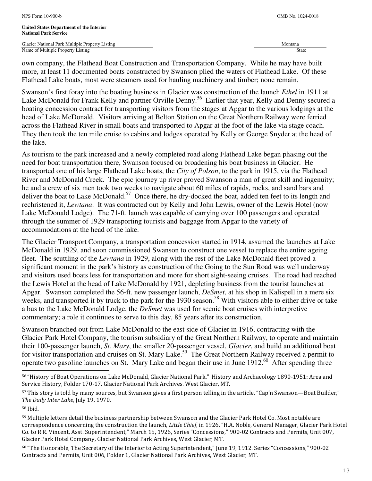own company, the Flathead Boat Construction and Transportation Company. While he may have built more, at least 11 documented boats constructed by Swanson plied the waters of Flathead Lake. Of these Flathead Lake boats, most were steamers used for hauling machinery and timber; none remain.

Swanson's first foray into the boating business in Glacier was construction of the launch *Ethel* in 1911 at Lake McDonald for Frank Kelly and partner Orville Denny.<sup>56</sup> Earlier that year, Kelly and Denny secured a boating concession contract for transporting visitors from the stages at Apgar to the various lodgings at the head of Lake McDonald. Visitors arriving at Belton Station on the Great Northern Railway were ferried across the Flathead River in small boats and transported to Apgar at the foot of the lake via stage coach. They then took the ten mile cruise to cabins and lodges operated by Kelly or George Snyder at the head of the lake.

As tourism to the park increased and a newly completed road along Flathead Lake began phasing out the need for boat transportation there, Swanson focused on broadening his boat business in Glacier. He transported one of his large Flathead Lake boats, the *City of Polson*, to the park in 1915, via the Flathead River and McDonald Creek. The epic journey up river proved Swanson a man of great skill and ingenuity; he and a crew of six men took two weeks to navigate about 60 miles of rapids, rocks, and sand bars and deliver the boat to Lake McDonald.<sup>57</sup> Once there, he dry-docked the boat, added ten feet to its length and rechristened it, *Lewtana*. It was contracted out by Kelly and John Lewis, owner of the Lewis Hotel (now Lake McDonald Lodge). The 71-ft. launch was capable of carrying over 100 passengers and operated through the summer of 1929 transporting tourists and baggage from Apgar to the variety of accommodations at the head of the lake.

The Glacier Transport Company, a transportation concession started in 1914, assumed the launches at Lake McDonald in 1929, and soon commissioned Swanson to construct one vessel to replace the entire ageing fleet. The scuttling of the *Lewtana* in 1929, along with the rest of the Lake McDonald fleet proved a significant moment in the park's history as construction of the Going to the Sun Road was well underway and visitors used boats less for transportation and more for short sight-seeing cruises. The road had reached the Lewis Hotel at the head of Lake McDonald by 1921, depleting business from the tourist launches at Apgar. Swanson completed the 56-ft. new passenger launch, *DeSmet*, at his shop in Kalispell in a mere six weeks, and transported it by truck to the park for the 1930 season.<sup>58</sup> With visitors able to either drive or take a bus to the Lake McDonald Lodge, the *DeSmet* was used for scenic boat cruises with interpretive commentary; a role it continues to serve to this day, 85 years after its construction.

Swanson branched out from Lake McDonald to the east side of Glacier in 1916, contracting with the Glacier Park Hotel Company, the tourism subsidiary of the Great Northern Railway, to operate and maintain their 100-passenger launch, *St. Mary*, the smaller 20-passenger vessel, *Glacier*, and build an additional boat for visitor transportation and cruises on St. Mary Lake.<sup>59</sup> The Great Northern Railway received a permit to operate two gasoline launches on St. Mary Lake and began their use in June  $1912<sup>60</sup>$  After spending three L

<sup>60</sup> "The Honorable, The Secretary of the Interior to Acting Superintendent," June 19, 1912. Series "Concessions," 900-02 Contracts and Permits, Unit 006, Folder 1, Glacier National Park Archives, West Glacier, MT.

<sup>56</sup> "History of Boat Operations on Lake McDonald, Glacier National Park." History and Archaeology 1890-1951: Area and Service History, Folder 170-17. Glacier National Park Archives. West Glacier, MT.

<sup>57</sup> This story is told by many sources, but Swanson gives a first person telling in the article, "Cap'n Swanson—Boat Builder," The Daily Inter Lake, July 19, 1970.

<sup>58</sup> Ibid.

<sup>59</sup> Multiple letters detail the business partnership between Swanson and the Glacier Park Hotel Co. Most notable are correspondence concerning the construction the launch, Little Chief, in 1926. "H.A. Noble, General Manager, Glacier Park Hotel Co. to R.R. Vincent, Asst. Superintendent," March 15, 1926, Series "Concessions," 900-02 Contracts and Permits, Unit 007, Glacier Park Hotel Company, Glacier National Park Archives, West Glacier, MT.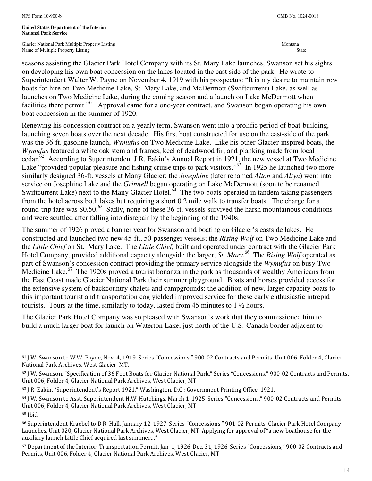Glacier National Park Multiple Property Listing Montana and American control of the Montana Montana and Montana Name of Multiple Property Listing State

seasons assisting the Glacier Park Hotel Company with its St. Mary Lake launches, Swanson set his sights on developing his own boat concession on the lakes located in the east side of the park. He wrote to Superintendent Walter W. Payne on November 4, 1919 with his prospectus: "It is my desire to maintain row boats for hire on Two Medicine Lake, St. Mary Lake, and McDermott (Swiftcurrent) Lake, as well as launches on Two Medicine Lake, during the coming season and a launch on Lake McDermott when facilities there permit."<sup>61</sup> Approval came for a one-year contract, and Swanson began operating his own boat concession in the summer of 1920.

Renewing his concession contract on a yearly term, Swanson went into a prolific period of boat-building, launching seven boats over the next decade. His first boat constructed for use on the east-side of the park was the 36-ft. gasoline launch, *Wymufus* on Two Medicine Lake. Like his other Glacier-inspired boats, the *Wymufus* featured a white oak stem and frames, keel of deadwood fir, and planking made from local cedar.<sup>62</sup> According to Superintendent J.R. Eakin's Annual Report in 1921, the new vessel at Two Medicine Lake "provided popular pleasure and fishing cruise trips to park visitors."<sup>63</sup> In 1925 he launched two more similarly designed 36-ft. vessels at Many Glacier; the *Josephine* (later renamed *Alton* and *Altyn*) went into service on Josephine Lake and the *Grinnell* began operating on Lake McDermott (soon to be renamed Swiftcurrent Lake) next to the Many Glacier Hotel.<sup>64</sup> The two boats operated in tandem taking passengers from the hotel across both lakes but requiring a short 0.2 mile walk to transfer boats. The charge for a round-trip fare was \$0.50.<sup>65</sup> Sadly, none of these 36-ft. vessels survived the harsh mountainous conditions and were scuttled after falling into disrepair by the beginning of the 1940s.

The summer of 1926 proved a banner year for Swanson and boating on Glacier's eastside lakes. He constructed and launched two new 45-ft., 50-passenger vessels; the *Rising Wolf* on Two Medicine Lake and the *Little Chief* on St. Mary Lake. The *Little Chief*, built and operated under contract with the Glacier Park Hotel Company, provided additional capacity alongside the larger, *St. Mary*. <sup>66</sup> The *Rising Wolf* operated as part of Swanson's concession contract providing the primary service alongside the *Wymufus* on busy Two Medicine Lake.<sup>67</sup> The 1920s proved a tourist bonanza in the park as thousands of wealthy Americans from the East Coast made Glacier National Park their summer playground. Boats and horses provided access for the extensive system of backcountry chalets and campgrounds; the addition of new, larger capacity boats to this important tourist and transportation cog yielded improved service for these early enthusiastic intrepid tourists. Tours at the time, similarly to today, lasted from 45 minutes to 1 ½ hours.

The Glacier Park Hotel Company was so pleased with Swanson's work that they commissioned him to build a much larger boat for launch on Waterton Lake, just north of the U.S.-Canada border adjacent to

L

<sup>61</sup> J.W. Swanson to W.W. Payne, Nov. 4, 1919. Series "Concessions," 900-02 Contracts and Permits, Unit 006, Folder 4, Glacier National Park Archives, West Glacier, MT.

<sup>62</sup> J.W. Swanson, "Specification of 36 Foot Boats for Glacier National Park," Series "Concessions," 900-02 Contracts and Permits, Unit 006, Folder 4, Glacier National Park Archives, West Glacier, MT.

<sup>63</sup> J.R. Eakin, "Superintendent's Report 1921," Washington, D.C.: Government Printing Office, 1921.

<sup>64</sup> J.W. Swanson to Asst. Superintendent H.W. Hutchings, March 1, 1925, Series "Concessions," 900-02 Contracts and Permits, Unit 006, Folder 4, Glacier National Park Archives, West Glacier, MT.

<sup>65</sup> Ibid.

<sup>66</sup> Superintendent Kraebel to D.R. Hull, January 12, 1927. Series "Concessions," 901-02 Permits, Glacier Park Hotel Company Launches, Unit 020, Glacier National Park Archives, West Glacier, MT. Applying for approval of "a new boathouse for the auxiliary launch Little Chief acquired last summer…"

<sup>67</sup> Department of the Interior. Transportation Permit, Jan. 1, 1926-Dec. 31, 1926. Series "Concessions," 900-02 Contracts and Permits, Unit 006, Folder 4, Glacier National Park Archives, West Glacier, MT.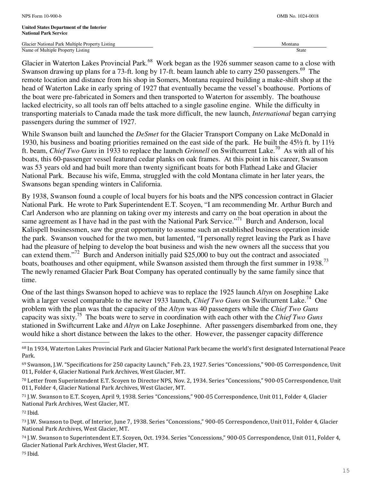Glacier National Park Multiple Property Listing Montana and American control of the Montana Montana and Montana Name of Multiple Property Listing State

Glacier in Waterton Lakes Provincial Park.<sup>68</sup> Work began as the 1926 summer season came to a close with Swanson drawing up plans for a 73-ft. long by 17-ft. beam launch able to carry 250 passengers.<sup>69</sup> The remote location and distance from his shop in Somers, Montana required building a make-shift shop at the head of Waterton Lake in early spring of 1927 that eventually became the vessel's boathouse. Portions of the boat were pre-fabricated in Somers and then transported to Waterton for assembly. The boathouse lacked electricity, so all tools ran off belts attached to a single gasoline engine. While the difficulty in transporting materials to Canada made the task more difficult, the new launch, *International* began carrying passengers during the summer of 1927.

While Swanson built and launched the *DeSmet* for the Glacier Transport Company on Lake McDonald in 1930, his business and boating priorities remained on the east side of the park. He built the 45½ ft. by 11½ ft. beam, *Chief Two Guns* in 1933 to replace the launch *Grinnell* on Swiftcurrent Lake.<sup>70</sup> As with all of his boats, this 60-passenger vessel featured cedar planks on oak frames. At this point in his career, Swanson was 53 years old and had built more than twenty significant boats for both Flathead Lake and Glacier National Park. Because his wife, Emma, struggled with the cold Montana climate in her later years, the Swansons began spending winters in California.

By 1938, Swanson found a couple of local buyers for his boats and the NPS concession contract in Glacier National Park. He wrote to Park Superintendent E.T. Scoyen, "I am recommending Mr. Arthur Burch and Carl Anderson who are planning on taking over my interests and carry on the boat operation in about the same agreement as I have had in the past with the National Park Service."<sup>71</sup> Burch and Anderson, local Kalispell businessmen, saw the great opportunity to assume such an established business operation inside the park. Swanson vouched for the two men, but lamented, "I personally regret leaving the Park as I have had the pleasure of helping to develop the boat business and wish the new owners all the success that you can extend them."<sup>72</sup> Burch and Anderson initially paid \$25,000 to buy out the contract and associated boats, boathouses and other equipment, while Swanson assisted them through the first summer in 1938.<sup>73</sup> The newly renamed Glacier Park Boat Company has operated continually by the same family since that time.

One of the last things Swanson hoped to achieve was to replace the 1925 launch *Altyn* on Josephine Lake with a larger vessel comparable to the newer 1933 launch, *Chief Two Guns* on Swiftcurrent Lake.<sup>74</sup> One problem with the plan was that the capacity of the *Altyn* was 40 passengers while the *Chief Two Guns*  capacity was sixty.<sup>75</sup> The boats were to serve in coordination with each other with the *Chief Two Guns* stationed in Swiftcurrent Lake and *Altyn* on Lake Josephinne. After passengers disembarked from one, they would hike a short distance between the lakes to the other. However, the passenger capacity difference

j.

<sup>68</sup> In 1934, Waterton Lakes Provincial Park and Glacier National Park became the world's first designated International Peace Park.

<sup>69</sup> Swanson, J.W. "Specifications for 250 capacity Launch," Feb. 23, 1927. Series "Concessions," 900-05 Correspondence, Unit 011, Folder 4, Glacier National Park Archives, West Glacier, MT.

<sup>70</sup> Letter from Superintendent E.T. Scoyen to Director NPS, Nov. 2, 1934. Series "Concessions," 900-05 Correspondence, Unit 011, Folder 4, Glacier National Park Archives, West Glacier, MT.

<sup>71</sup> J.W. Swanson to E.T. Scoyen, April 9, 1938. Series "Concessions," 900-05 Correspondence, Unit 011, Folder 4, Glacier National Park Archives, West Glacier, MT.

<sup>72</sup> Ibid.

<sup>73</sup> J.W. Swanson to Dept. of Interior, June 7, 1938. Series "Concessions," 900-05 Correspondence, Unit 011, Folder 4, Glacier National Park Archives, West Glacier, MT.

<sup>74</sup> J.W. Swanson to Superintendent E.T. Scoyen, Oct. 1934. Series "Concessions," 900-05 Correspondence, Unit 011, Folder 4, Glacier National Park Archives, West Glacier, MT.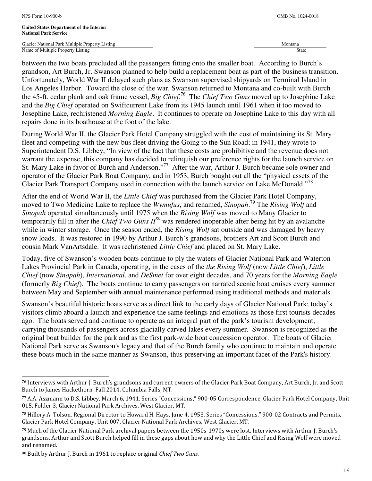j.

**United States Department of the Interior National Park Service** 

Glacier National Park Multiple Property Listing Montana and American control of the Montana Montana and Montana Name of Multiple Property Listing State

between the two boats precluded all the passengers fitting onto the smaller boat. According to Burch's grandson, Art Burch, Jr. Swanson planned to help build a replacement boat as part of the business transition. Unfortunately, World War II delayed such plans as Swanson supervised shipyards on Terminal Island in Los Angeles Harbor. Toward the close of the war, Swanson returned to Montana and co-built with Burch the 45-ft. cedar plank and oak frame vessel, *Big Chief*. <sup>76</sup> The *Chief Two Guns* moved up to Josephine Lake and the *Big Chief* operated on Swiftcurrent Lake from its 1945 launch until 1961 when it too moved to Josephine Lake, rechristened *Morning Eagle*. It continues to operate on Josephine Lake to this day with all repairs done in its boathouse at the foot of the lake.

During World War II, the Glacier Park Hotel Company struggled with the cost of maintaining its St. Mary fleet and competing with the new bus fleet driving the Going to the Sun Road; in 1941, they wrote to Superintendent D.S. Libbey, "In view of the fact that these costs are prohibitive and the revenue does not warrant the expense, this company has decided to relinquish our preference rights for the launch service on St. Mary Lake in favor of Burch and Anderson."<sup>77</sup> After the war, Arthur J. Burch became sole owner and operator of the Glacier Park Boat Company, and in 1953, Burch bought out all the "physical assets of the Glacier Park Transport Company used in connection with the launch service on Lake McDonald."<sup>78</sup>

After the end of World War II, the *Little Chief* was purchased from the Glacier Park Hotel Company, moved to Two Medicine Lake to replace the *Wymufus*, and renamed, *Sinopah*. <sup>79</sup> The *Rising Wolf* and *Sinopah* operated simultaneously until 1975 when the *Rising Wolf* was moved to Many Glacier to temporarily fill in after the *Chief Two Guns II<sup>80</sup>* was rendered inoperable after being hit by an avalanche while in winter storage. Once the season ended, the *Rising Wolf* sat outside and was damaged by heavy snow loads. It was restored in 1990 by Arthur J. Burch's grandsons, brothers Art and Scott Burch and cousin Mark VanArtsdale. It was rechristened *Little Chief* and placed on St. Mary Lake.

Today, five of Swanson's wooden boats continue to ply the waters of Glacier National Park and Waterton Lakes Provincial Park in Canada, operating, in the cases of the *the Rising Wolf* (now *Little Chief*), *Little Chief* (now *Sinopah*), *International*, and *DeSmet* for over eight decades, and 70 years for the *Morning Eagle* (formerly *Big Chief*). The boats continue to carry passengers on narrated scenic boat cruises every summer between May and September with annual maintenance performed using traditional methods and materials.

Swanson's beautiful historic boats serve as a direct link to the early days of Glacier National Park; today's visitors climb aboard a launch and experience the same feelings and emotions as those first tourists decades ago. The boats served and continue to operate as an integral part of the park's tourism development, carrying thousands of passengers across glacially carved lakes every summer. Swanson is recognized as the original boat builder for the park and as the first park-wide boat concession operator. The boats of Glacier National Park serve as Swanson's legacy and that of the Burch family who continue to maintain and operate these boats much in the same manner as Swanson, thus preserving an important facet of the Park's history.

<sup>76</sup> Interviews with Arthur J. Burch's grandsons and current owners of the Glacier Park Boat Company, Art Burch, Jr. and Scott Burch to James Hackethorn. Fall 2014. Columbia Falls, MT.

<sup>77</sup> A.A. Aszmann to D.S. Libbey, March 6, 1941. Series "Concessions," 900-05 Correspondence, Glacier Park Hotel Company, Unit 015, Folder 3, Glacier National Park Archives, West Glacier, MT.

<sup>78</sup> Hillory A. Tolson, Regional Director to Howard H. Hays, June 4, 1953. Series "Concessions," 900-02 Contracts and Permits, Glacier Park Hotel Company, Unit 007, Glacier National Park Archives, West Glacier, MT.

<sup>79</sup> Much of the Glacier National Park archival papers between the 1950s-1970s were lost. Interviews with Arthur J. Burch's grandsons, Arthur and Scott Burch helped fill in these gaps about how and why the Little Chief and Rising Wolf were moved and renamed.

<sup>80</sup> Built by Arthur J. Burch in 1961 to replace original Chief Two Guns.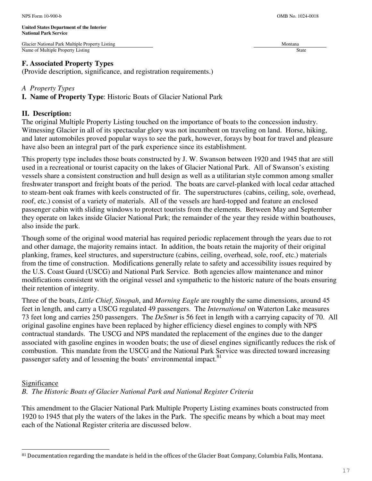# **F. Associated Property Types**

(Provide description, significance, and registration requirements.)

# *A Property Types*

**I. Name of Property Type**: Historic Boats of Glacier National Park

# **II. Description:**

The original Multiple Property Listing touched on the importance of boats to the concession industry. Witnessing Glacier in all of its spectacular glory was not incumbent on traveling on land. Horse, hiking, and later automobiles proved popular ways to see the park, however, forays by boat for travel and pleasure have also been an integral part of the park experience since its establishment.

This property type includes those boats constructed by J. W. Swanson between 1920 and 1945 that are still used in a recreational or tourist capacity on the lakes of Glacier National Park. All of Swanson's existing vessels share a consistent construction and hull design as well as a utilitarian style common among smaller freshwater transport and freight boats of the period. The boats are carvel-planked with local cedar attached to steam-bent oak frames with keels constructed of fir. The superstructures (cabins, ceiling, sole, overhead, roof, etc.) consist of a variety of materials. All of the vessels are hard-topped and feature an enclosed passenger cabin with sliding windows to protect tourists from the elements. Between May and September they operate on lakes inside Glacier National Park; the remainder of the year they reside within boathouses, also inside the park.

Though some of the original wood material has required periodic replacement through the years due to rot and other damage, the majority remains intact. In addition, the boats retain the majority of their original planking, frames, keel structures, and superstructure (cabins, ceiling, overhead, sole, roof, etc.) materials from the time of construction. Modifications generally relate to safety and accessibility issues required by the U.S. Coast Guard (USCG) and National Park Service. Both agencies allow maintenance and minor modifications consistent with the original vessel and sympathetic to the historic nature of the boats ensuring their retention of integrity.

Three of the boats, *Little Chief*, *Sinopah*, and *Morning Eagle* are roughly the same dimensions, around 45 feet in length, and carry a USCG regulated 49 passengers. The *International* on Waterton Lake measures 73 feet long and carries 250 passengers. The *DeSmet* is 56 feet in length with a carrying capacity of 70. All original gasoline engines have been replaced by higher efficiency diesel engines to comply with NPS contractual standards. The USCG and NPS mandated the replacement of the engines due to the danger associated with gasoline engines in wooden boats; the use of diesel engines significantly reduces the risk of combustion. This mandate from the USCG and the National Park Service was directed toward increasing passenger safety and of lessening the boats' environmental impact.<sup>81</sup>

# **Significance**

L

*B. The Historic Boats of Glacier National Park and National Register Criteria*

This amendment to the Glacier National Park Multiple Property Listing examines boats constructed from 1920 to 1945 that ply the waters of the lakes in the Park. The specific means by which a boat may meet each of the National Register criteria are discussed below.

<sup>81</sup> Documentation regarding the mandate is held in the offices of the Glacier Boat Company, Columbia Falls, Montana.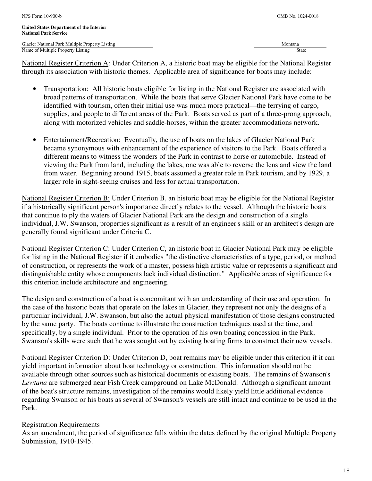National Register Criterion A: Under Criterion A, a historic boat may be eligible for the National Register through its association with historic themes. Applicable area of significance for boats may include:

- Transportation: All historic boats eligible for listing in the National Register are associated with broad patterns of transportation. While the boats that serve Glacier National Park have come to be identified with tourism, often their initial use was much more practical—the ferrying of cargo, supplies, and people to different areas of the Park. Boats served as part of a three-prong approach, along with motorized vehicles and saddle-horses, within the greater accommodations network.
- Entertainment/Recreation: Eventually, the use of boats on the lakes of Glacier National Park became synonymous with enhancement of the experience of visitors to the Park. Boats offered a different means to witness the wonders of the Park in contrast to horse or automobile. Instead of viewing the Park from land, including the lakes, one was able to reverse the lens and view the land from water. Beginning around 1915, boats assumed a greater role in Park tourism, and by 1929, a larger role in sight-seeing cruises and less for actual transportation.

National Register Criterion B: Under Criterion B, an historic boat may be eligible for the National Register if a historically significant person's importance directly relates to the vessel. Although the historic boats that continue to ply the waters of Glacier National Park are the design and construction of a single individual, J.W. Swanson, properties significant as a result of an engineer's skill or an architect's design are generally found significant under Criteria C.

National Register Criterion C: Under Criterion C, an historic boat in Glacier National Park may be eligible for listing in the National Register if it embodies "the distinctive characteristics of a type, period, or method of construction, or represents the work of a master, possess high artistic value or represents a significant and distinguishable entity whose components lack individual distinction." Applicable areas of significance for this criterion include architecture and engineering.

The design and construction of a boat is concomitant with an understanding of their use and operation. In the case of the historic boats that operate on the lakes in Glacier, they represent not only the designs of a particular individual, J.W. Swanson, but also the actual physical manifestation of those designs constructed by the same party. The boats continue to illustrate the construction techniques used at the time, and specifically, by a single individual. Prior to the operation of his own boating concession in the Park, Swanson's skills were such that he was sought out by existing boating firms to construct their new vessels.

National Register Criterion D: Under Criterion D, boat remains may be eligible under this criterion if it can yield important information about boat technology or construction. This information should not be available through other sources such as historical documents or existing boats. The remains of Swanson's *Lewtana* are submerged near Fish Creek campground on Lake McDonald. Although a significant amount of the boat's structure remains, investigation of the remains would likely yield little additional evidence regarding Swanson or his boats as several of Swanson's vessels are still intact and continue to be used in the Park.

# Registration Requirements

As an amendment, the period of significance falls within the dates defined by the original Multiple Property Submission, 1910-1945.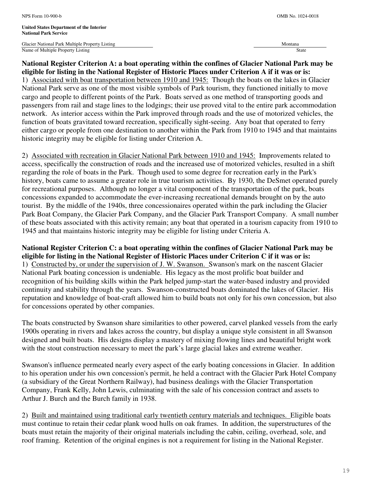Glacier National Park Multiple Property Listing Montana and American control of the Montana Montana and Montana Name of Multiple Property Listing State

# **National Register Criterion A: a boat operating within the confines of Glacier National Park may be eligible for listing in the National Register of Historic Places under Criterion A if it was or is:**  1) Associated with boat transportation between 1910 and 1945: Though the boats on the lakes in Glacier National Park serve as one of the most visible symbols of Park tourism, they functioned initially to move cargo and people to different points of the Park. Boats served as one method of transporting goods and passengers from rail and stage lines to the lodgings; their use proved vital to the entire park accommodation network. As interior access within the Park improved through roads and the use of motorized vehicles, the function of boats gravitated toward recreation, specifically sight-seeing. Any boat that operated to ferry either cargo or people from one destination to another within the Park from 1910 to 1945 and that maintains historic integrity may be eligible for listing under Criterion A.

2) Associated with recreation in Glacier National Park between 1910 and 1945: Improvements related to access, specifically the construction of roads and the increased use of motorized vehicles, resulted in a shift regarding the role of boats in the Park. Though used to some degree for recreation early in the Park's history, boats came to assume a greater role in true tourism activities. By 1930, the DeSmet operated purely for recreational purposes. Although no longer a vital component of the transportation of the park, boats concessions expanded to accommodate the ever-increasing recreational demands brought on by the auto tourist. By the middle of the 1940s, three concessionaires operated within the park including the Glacier Park Boat Company, the Glacier Park Company, and the Glacier Park Transport Company. A small number of these boats associated with this activity remain; any boat that operated in a tourism capacity from 1910 to 1945 and that maintains historic integrity may be eligible for listing under Criteria A.

# **National Register Criterion C: a boat operating within the confines of Glacier National Park may be eligible for listing in the National Register of Historic Places under Criterion C if it was or is:**  1) Constructed by, or under the supervision of J. W. Swanson. Swanson's mark on the nascent Glacier National Park boating concession is undeniable. His legacy as the most prolific boat builder and recognition of his building skills within the Park helped jump-start the water-based industry and provided continuity and stability through the years. Swanson-constructed boats dominated the lakes of Glacier. His reputation and knowledge of boat-craft allowed him to build boats not only for his own concession, but also for concessions operated by other companies.

The boats constructed by Swanson share similarities to other powered, carvel planked vessels from the early 1900s operating in rivers and lakes across the country, but display a unique style consistent in all Swanson designed and built boats. His designs display a mastery of mixing flowing lines and beautiful bright work with the stout construction necessary to meet the park's large glacial lakes and extreme weather.

Swanson's influence permeated nearly every aspect of the early boating concessions in Glacier. In addition to his operation under his own concession's permit, he held a contract with the Glacier Park Hotel Company (a subsidiary of the Great Northern Railway), had business dealings with the Glacier Transportation Company, Frank Kelly, John Lewis, culminating with the sale of his concession contract and assets to Arthur J. Burch and the Burch family in 1938.

2) Built and maintained using traditional early twentieth century materials and techniques. Eligible boats must continue to retain their cedar plank wood hulls on oak frames. In addition, the superstructures of the boats must retain the majority of their original materials including the cabin, ceiling, overhead, sole, and roof framing. Retention of the original engines is not a requirement for listing in the National Register.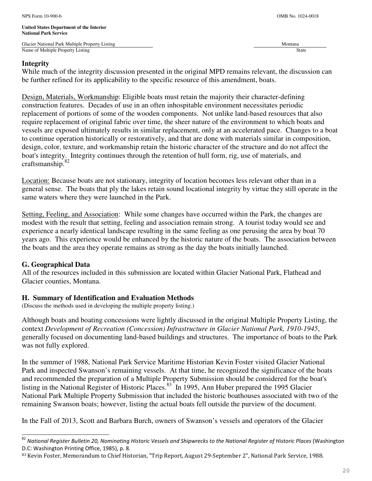#### **Integrity**

While much of the integrity discussion presented in the original MPD remains relevant, the discussion can be further refined for its applicability to the specific resource of this amendment, boats.

Design, Materials, Workmanship: Eligible boats must retain the majority their character-defining construction features. Decades of use in an often inhospitable environment necessitates periodic replacement of portions of some of the wooden components. Not unlike land-based resources that also require replacement of original fabric over time, the sheer nature of the environment to which boats and vessels are exposed ultimately results in similar replacement, only at an accelerated pace. Changes to a boat to continue operation historically or restoratively, and that are done with materials similar in composition, design, color, texture, and workmanship retain the historic character of the structure and do not affect the boat's integrity. Integrity continues through the retention of hull form, rig, use of materials, and craftsmanship.<sup>82</sup>

Location: Because boats are not stationary, integrity of location becomes less relevant other than in a general sense. The boats that ply the lakes retain sound locational integrity by virtue they still operate in the same waters where they were launched in the Park.

Setting, Feeling, and Association: While some changes have occurred within the Park, the changes are modest with the result that setting, feeling and association remain strong. A tourist today would see and experience a nearly identical landscape resulting in the same feeling as one perusing the area by boat 70 years ago. This experience would be enhanced by the historic nature of the boats. The association between the boats and the area they operate remains as strong as the day the boats initially launched.

#### **G. Geographical Data**

L

All of the resources included in this submission are located within Glacier National Park, Flathead and Glacier counties, Montana.

# **H. Summary of Identification and Evaluation Methods**

(Discuss the methods used in developing the multiple property listing.)

Although boats and boating concessions were lightly discussed in the original Multiple Property Listing, the context *Development of Recreation (Concession) Infrastructure in Glacier National Park, 1910-1945*, generally focused on documenting land-based buildings and structures. The importance of boats to the Park was not fully explored.

In the summer of 1988, National Park Service Maritime Historian Kevin Foster visited Glacier National Park and inspected Swanson's remaining vessels. At that time, he recognized the significance of the boats and recommended the preparation of a Multiple Property Submission should be considered for the boat's listing in the National Register of Historic Places.<sup>83</sup> In 1995, Ann Huber prepared the 1995 Glacier National Park Multiple Property Submission that included the historic boathouses associated with two of the remaining Swanson boats; however, listing the actual boats fell outside the purview of the document.

In the Fall of 2013, Scott and Barbara Burch, owners of Swanson's vessels and operators of the Glacier

<sup>82</sup> National Register Bulletin 20, Nominating Historic Vessels and Shipwrecks to the National Register of Historic Places (Washington D.C: Washington Printing Office, 1985), p. 8.

<sup>83</sup> Kevin Foster, Memorandum to Chief Historian, "Trip Report, August 29-September 2", National Park Service, 1988.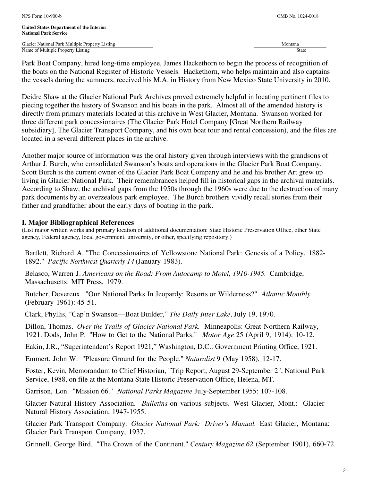Park Boat Company, hired long-time employee, James Hackethorn to begin the process of recognition of the boats on the National Register of Historic Vessels. Hackethorn, who helps maintain and also captains the vessels during the summers, received his M.A. in History from New Mexico State University in 2010.

Deidre Shaw at the Glacier National Park Archives proved extremely helpful in locating pertinent files to piecing together the history of Swanson and his boats in the park. Almost all of the amended history is directly from primary materials located at this archive in West Glacier, Montana. Swanson worked for three different park concessionaires (The Glacier Park Hotel Company [Great Northern Railway subsidiary], The Glacier Transport Company, and his own boat tour and rental concession), and the files are located in a several different places in the archive.

Another major source of information was the oral history given through interviews with the grandsons of Arthur J. Burch, who consolidated Swanson's boats and operations in the Glacier Park Boat Company. Scott Burch is the current owner of the Glacier Park Boat Company and he and his brother Art grew up living in Glacier National Park. Their remembrances helped fill in historical gaps in the archival materials. According to Shaw, the archival gaps from the 1950s through the 1960s were due to the destruction of many park documents by an overzealous park employee. The Burch brothers vividly recall stories from their father and grandfather about the early days of boating in the park.

# **I. Major Bibliographical References**

(List major written works and primary location of additional documentation: State Historic Preservation Office, other State agency, Federal agency, local government, university, or other, specifying repository.)

Bartlett, Richard A. "The Concessionaires of Yellowstone National Park: Genesis of a Policy, 1882- 1892." *Pacific Northwest Quarterly 14* (January 1983).

Belasco, Warren J. *Americans on the Road: From Autocamp to Motel, 1910-1945.* Cambridge, Massachusetts: MIT Press, 1979.

Butcher, Devereux. "Our National Parks In Jeopardy: Resorts or Wilderness?" *Atlantic Monthly*  (February 1961): 45-51.

Clark, Phyllis, "Cap'n Swanson—Boat Builder," *The Daily Inter Lake*, July 19, 1970.

Dillon, Thomas. *Over the Trails of Glacier National Park.* Minneapolis: Great Northern Railway, 1921. Dods, John P. "How to Get to the National Parks." *Motor Age* 25 (April 9, 1914): 10-12.

Eakin, J.R., "Superintendent's Report 1921," Washington, D.C.: Government Printing Office, 1921.

Emmert, John W. "Pleasure Ground for the People." *Naturalist* 9 (May 1958), 12-17.

Foster, Kevin, Memorandum to Chief Historian, "Trip Report, August 29-September 2", National Park Service, 1988, on file at the Montana State Historic Preservation Office, Helena, MT.

Garrison, Lon. "Mission 66." *National Parks Magazine* July-September 1955: 107-108.

Glacier Natural History Association. *Bulletins* on various subjects. West Glacier, Mont.: Glacier Natural History Association, 1947-1955.

Glacier Park Transport Company. *Glacier National Park: Driver's Manual.* East Glacier, Montana: Glacier Park Transport Company, 1937.

Grinnell, George Bird. "The Crown of the Continent." *Century Magazine 62* (September 1901), 660-72.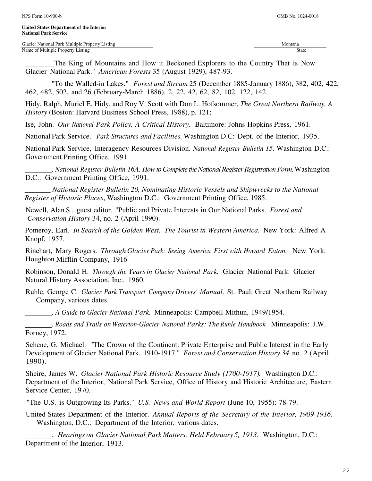The King of Mountains and How it Beckoned Explorers to the Country That is Now Glacier National Park." *American Forests* 35 (August 1929), 487-93.

 "To the Walled-in Lakes." *Forest and Stream* 25 (December 1885-January 1886), 382, 402, 422, 462, 482, 502, and 26 (February-March 1886), 2, 22, 42, 62, 82, 102, 122, 142.

Hidy, Ralph, Muriel E. Hidy, and Roy V. Scott with Don L. Hofsommer, *The Great Northern Railway, A History* (Boston: Harvard Business School Press, 1988), p. 121;

Ise, John. *Our National Park Policy, A Critical History.* Baltimore: Johns Hopkins Press, 1961.

National Park Service. *Park Structures and Facilities.* Washington D.C: Dept. of the Interior, 1935.

National Park Service, Interagency Resources Division. *National Register Bulletin 15.* Washington D.C.: Government Printing Office, 1991.

 . *National Register Bulletin 16A. How to Complete the National Register Registration Form,* Washington D.C.: Government Printing Office, 1991.

\_\_\_\_\_\_\_ *National Register Bulletin 20, Nominating Historic Vessels and Shipwrecks to the National Register of Historic Places*, Washington D.C.: Government Printing Office, 1985.

Newell, Alan S., guest editor. "Public and Private Interests in Our National Parks. *Forest and Conservation History* 34, no. 2 (April 1990).

Pomeroy, Earl. *In Search of the Golden West. The Tourist in Western America.* New York: Alfred A Knopf, 1957.

Rinehart, Mary Rogers. *Through Glacier Park: Seeing America First with Howard Eaton.* New York: Houghton Mifflin Company, 1916

Robinson, Donald H. *Through the Years in Glacier National Park.* Glacier National Park: Glacier Natural History Association, Inc., 1960.

Ruhle, George C. *Glacier Park Transport Company Drivers' Manual.* St. Paul: Great Northern Railway Company, various dates.

. *A Guide to Glacier National Park.* Minneapolis: Campbell-Mithun, 1949/1954.

 . *Roads and Trails on Waterton-Glacier National Parks: The Ruhle Handbook.* Minneapolis: J.W. Forney, 1972.

Schene, G. Michael. "The Crown of the Continent: Private Enterprise and Public Interest in the Early Development of Glacier National Park, 1910-1917." *Forest and Conservation History 34* no. 2 (April 1990).

Sheire, James W. *Glacier National Park Historic Resource Study (1700-1917).* Washington D.C.: Department of the Interior, National Park Service, Office of History and Historic Architecture, Eastern Service Center, 1970.

"The U.S. is Outgrowing Its Parks." *U.S. News and World Report* (June 10, 1955): 78-79.

United States Department of the Interior. *Annual Reports of the Secretary of the Interior, 1909-1916.*  Washington, D.C.: Department of the Interior, various dates.

 . *Hearings on Glacier National Park Matters, Held February 5, 1913.* Washington, D.C.: Department of the Interior, 1913.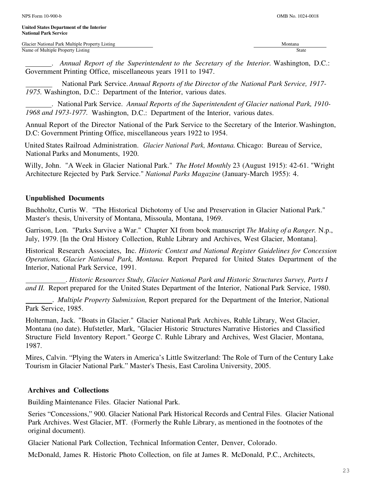Glacier National Park Multiple Property Listing Montana and American control of the Montana Montana and Montana Name of Multiple Property Listing State

 . *Annual Report of the Superintendent to the Secretary of the Interior.* Washington, D.C.: Government Printing Office, miscellaneous years 1911 to 1947.

 National Park Service. *Annual Reports of the Director of the National Park Service, 1917- 1975.* Washington, D.C.: Department of the Interior, various dates.

 . National Park Service. *Annual Reports of the Superintendent of Glacier national Park, 1910- 1968 and 1973-1977.* Washington, D.C.: Department of the Interior, various dates.

Annual Report of the Director National of the Park Service to the Secretary of the Interior. Washington, D.C: Government Printing Office, miscellaneous years 1922 to 1954.

United States Railroad Administration. *Glacier National Park, Montana.* Chicago: Bureau of Service, National Parks and Monuments, 1920.

Willy, John. "A Week in Glacier National Park." *The Hotel Monthly* 23 (August 1915): 42-61. "Wright Architecture Rejected by Park Service." *National Parks Magazine* (January-March 1955): 4.

#### **Unpublished Documents**

Buchholtz, Curtis W. "The Historical Dichotomy of Use and Preservation in Glacier National Park." Master's thesis, University of Montana, Missoula, Montana, 1969.

Garrison, Lon. "Parks Survive a War." Chapter XI from book manuscript *The Making of a Ranger.* N.p., July, 1979. [In the Oral History Collection, Ruhle Library and Archives, West Glacier, Montana].

Historical Research Associates, Inc. *Historic Context and National Register Guidelines for Concession Operations, Glacier National Park, Montana.* Report Prepared for United States Department of the Interior, National Park Service, 1991.

 . *Historic Resources Study, Glacier National Park and Historic Structures Survey, Parts I and II.* Report prepared for the United States Department of the Interior, National Park Service, 1980.

 . *Multiple Property Submission,* Report prepared for the Department of the Interior, National Park Service, 1985.

Holterman, Jack. "Boats in Glacier." Glacier National Park Archives, Ruhle Library, West Glacier, Montana (no date). Hufstetler, Mark, "Glacier Historic Structures Narrative Histories and Classified Structure Field Inventory Report." George C. Ruhle Library and Archives, West Glacier, Montana, 1987.

Mires, Calvin. "Plying the Waters in America's Little Switzerland: The Role of Turn of the Century Lake Tourism in Glacier National Park." Master's Thesis, East Carolina University, 2005.

# **Archives and Collections**

Building Maintenance Files. Glacier National Park.

Series "Concessions," 900. Glacier National Park Historical Records and Central Files. Glacier National Park Archives. West Glacier, MT. (Formerly the Ruhle Library, as mentioned in the footnotes of the original document).

Glacier National Park Collection, Technical Information Center, Denver, Colorado.

McDonald, James R. Historic Photo Collection, on file at James R. McDonald, P.C., Architects,